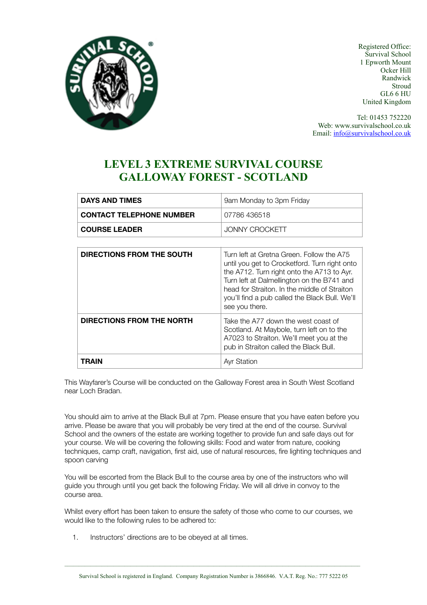

Registered Office: Survival School 1 Epworth Mount Ocker Hill Randwick **Stroud** GL6 6 HU United Kingdom

Tel: 01453 752220 Web: www.survivalschool.co.uk Email: [info@survivalschool.co.uk](mailto:info@survivalschool.co.uk)

## **LEVEL 3 EXTREME SURVIVAL COURSE GALLOWAY FOREST - SCOTLAND**

| <b>DAYS AND TIMES</b>           | 9am Monday to 3pm Friday |  |
|---------------------------------|--------------------------|--|
| <b>CONTACT TELEPHONE NUMBER</b> | 07786 436518             |  |
| <b>COURSE LEADER</b>            | JONNY CROCKETT           |  |

| <b>DIRECTIONS FROM THE SOUTH</b> | Turn left at Gretna Green. Follow the A75<br>until you get to Crocketford. Turn right onto<br>the A712. Turn right onto the A713 to Ayr.<br>Turn left at Dalmellington on the B741 and<br>head for Straiton. In the middle of Straiton<br>you'll find a pub called the Black Bull. We'll<br>see you there. |
|----------------------------------|------------------------------------------------------------------------------------------------------------------------------------------------------------------------------------------------------------------------------------------------------------------------------------------------------------|
| DIRECTIONS FROM THE NORTH        | Take the A77 down the west coast of<br>Scotland. At Maybole, turn left on to the<br>A7023 to Straiton. We'll meet you at the<br>pub in Straiton called the Black Bull.                                                                                                                                     |
| TRAIN                            | <b>Avr Station</b>                                                                                                                                                                                                                                                                                         |

This Wayfarer's Course will be conducted on the Galloway Forest area in South West Scotland near Loch Bradan.

You should aim to arrive at the Black Bull at 7pm. Please ensure that you have eaten before you arrive. Please be aware that you will probably be very tired at the end of the course. Survival School and the owners of the estate are working together to provide fun and safe days out for your course. We will be covering the following skills: Food and water from nature, cooking techniques, camp craft, navigation, first aid, use of natural resources, fire lighting techniques and spoon carving

You will be escorted from the Black Bull to the course area by one of the instructors who will guide you through until you get back the following Friday. We will all drive in convoy to the course area.

Whilst every effort has been taken to ensure the safety of those who come to our courses, we would like to the following rules to be adhered to:

1. Instructors' directions are to be obeyed at all times.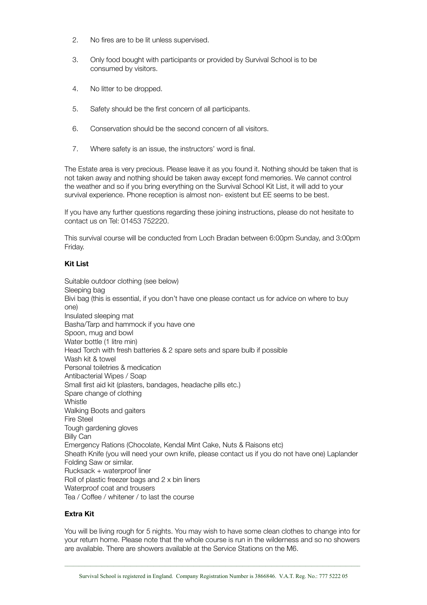- 2. No fires are to be lit unless supervised.
- 3. Only food bought with participants or provided by Survival School is to be consumed by visitors.
- 4. No litter to be dropped.
- 5. Safety should be the first concern of all participants.
- 6. Conservation should be the second concern of all visitors.
- 7. Where safety is an issue, the instructors' word is final.

The Estate area is very precious. Please leave it as you found it. Nothing should be taken that is not taken away and nothing should be taken away except fond memories. We cannot control the weather and so if you bring everything on the Survival School Kit List, it will add to your survival experience. Phone reception is almost non- existent but EE seems to be best.

If you have any further questions regarding these joining instructions, please do not hesitate to contact us on Tel: 01453 752220.

This survival course will be conducted from Loch Bradan between 6:00pm Sunday, and 3:00pm Friday.

#### **Kit List**

Suitable outdoor clothing (see below) Sleeping bag Bivi bag (this is essential, if you don't have one please contact us for advice on where to buy one) Insulated sleeping mat Basha/Tarp and hammock if you have one Spoon, mug and bowl Water bottle (1 litre min) Head Torch with fresh batteries & 2 spare sets and spare bulb if possible Wash kit & towel Personal toiletries & medication Antibacterial Wipes / Soap Small first aid kit (plasters, bandages, headache pills etc.) Spare change of clothing **Whistle** Walking Boots and gaiters Fire Steel Tough gardening gloves Billy Can Emergency Rations (Chocolate, Kendal Mint Cake, Nuts & Raisons etc) Sheath Knife (you will need your own knife, please contact us if you do not have one) Laplander Folding Saw or similar. Rucksack + waterproof liner Roll of plastic freezer bags and 2 x bin liners Waterproof coat and trousers Tea / Coffee / whitener / to last the course

### **Extra Kit**

You will be living rough for 5 nights. You may wish to have some clean clothes to change into for your return home. Please note that the whole course is run in the wilderness and so no showers are available. There are showers available at the Service Stations on the M6.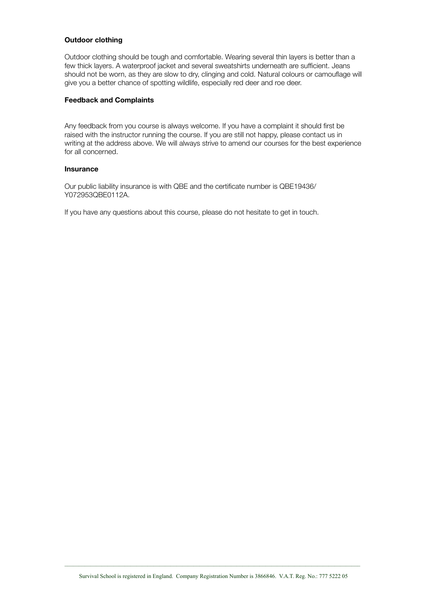#### **Outdoor clothing**

Outdoor clothing should be tough and comfortable. Wearing several thin layers is better than a few thick layers. A waterproof jacket and several sweatshirts underneath are sufficient. Jeans should not be worn, as they are slow to dry, clinging and cold. Natural colours or camouflage will give you a better chance of spotting wildlife, especially red deer and roe deer.

### **Feedback and Complaints**

Any feedback from you course is always welcome. If you have a complaint it should first be raised with the instructor running the course. If you are still not happy, please contact us in writing at the address above. We will always strive to amend our courses for the best experience for all concerned.

#### **Insurance**

Our public liability insurance is with QBE and the certificate number is QBE19436/ Y072953QBE0112A.

If you have any questions about this course, please do not hesitate to get in touch.